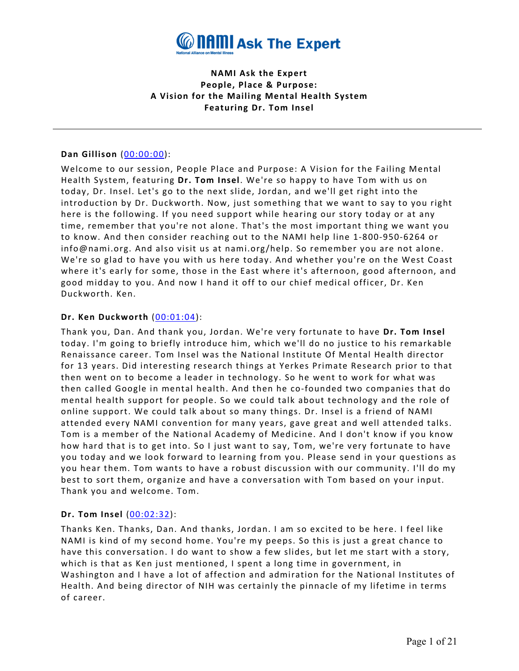

**NAMI Ask the Expert People, Place & Purpose: A Vision for the Mailing Mental Health System Featuring Dr. Tom Insel**

### **Dan Gillison** [\(00:00:00\)](https://www.rev.com/transcript-editor/Edit?token=S8vR8qdFz4Xn-1HP6Ed8r8ic0WQeW-miTvf62a0jFrLeV-CgDUzZQqCxM-Yr5cU3BSuWB7wa5HPE60S72d-PgYKyZEM&loadFrom=DocumentDeeplink&ts=0.36):

Welcome to our session, People Place and Purpose: A Vision for the Failing Mental Health System, featuring **Dr. Tom Insel**. We're so happy to have Tom with us on today, Dr. Insel. Let's go to the next slide, Jordan, and we'll get right into the introduction by Dr. Duckworth. Now, just something that we want to say to you right here is the following. If you need support while hearing our story today or at any time, remember that you're not alone. That's the most important thing we want you to know. And then consider reaching out to the NAMI help line 1-800-950-6264 or info@nami.org. And also visit us at nami.org/help. So remember you are not alone. We're so glad to have you with us here today. And whether you're on the West Coast where it's early for some, those in the East where it's afternoon, good afternoon, and good midday to you. And now I hand it off to our chief medical officer, Dr. Ken Duckworth. Ken.

### **Dr. Ken Duckworth** [\(00:01:04\)](https://www.rev.com/transcript-editor/Edit?token=1oGwrBjcNf1l8ifLKX93Qa-5YjZpHVnFza2dNyz0WLP5RcKwNcA8QerI5OIzoLQxpx4UQeeq_aRi1u91kkax7FBMu0c&loadFrom=DocumentDeeplink&ts=64.87):

Thank you, Dan. And thank you, Jordan. We're very fortunate to have **Dr. Tom Insel** today. I'm going to briefly introduce him, which we'll do no justice to his remarkable Renaissance career. Tom Insel was the National Institute Of Mental Health director for 13 years. Did interesting research things at Yerkes Primate Research prior to that then went on to become a leader in technology. So he went to work for what was then called Google in mental health. And then he co-founded two companies that do mental health support for people. So we could talk about technology and the role of online support. We could talk about so many things. Dr. Insel is a friend of NAMI attended every NAMI convention for many years, gave great and well attended talks. Tom is a member of the National Academy of Medicine. And I don't know if you know how hard that is to get into. So I just want to say, Tom, we're very fortunate to have you today and we look forward to learning from you. Please send in your questions as you hear them. Tom wants to have a robust discussion with our community. I'll do my best to sort them, organize and have a conversation with Tom based on your input. Thank you and welcome. Tom.

### **Dr. Tom Insel** [\(00:02:32\)](https://www.rev.com/transcript-editor/Edit?token=SwbMfRqDff40sI-REE5L_UlgMccgT9QNTbTuNR-VqksF0sTa-Kbz-SHnpTGi7GPld4xhk8oAdPrTZwbRWg_ttBndAU0&loadFrom=DocumentDeeplink&ts=152.37):

Thanks Ken. Thanks, Dan. And thanks, Jordan. I am so excited to be here. I feel like NAMI is kind of my second home. You're my peeps. So this is just a great chance to have this conversation. I do want to show a few slides, but let me start with a story, which is that as Ken just mentioned, I spent a long time in government, in Washington and I have a lot of affection and admiration for the National Institutes of Health. And being director of NIH was certainly the pinnacle of my lifetime in terms of career.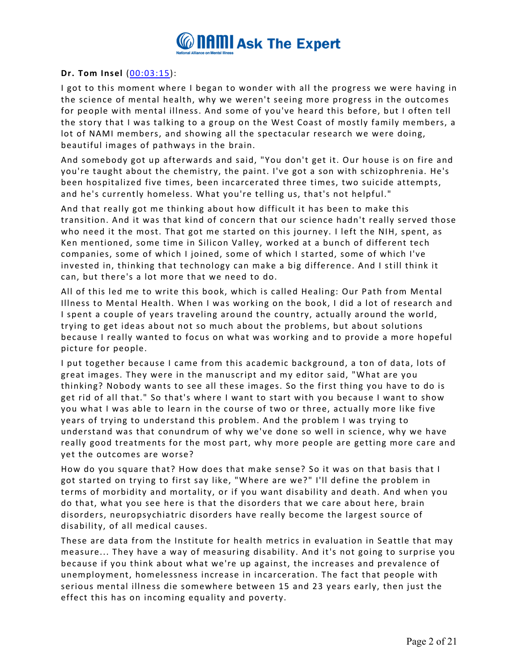

## **Dr. Tom Insel** [\(00:03:15\)](https://www.rev.com/transcript-editor/Edit?token=k5n-UORLqLNuIEgPsqOhTWAN2keZA-G8hhK7Qtew8ZrLAxgMzTK88_ZkDiIXDPB5_WuDKAKe9datKSyMbQmkd7nunes&loadFrom=DocumentDeeplink&ts=195.75):

I got to this moment where I began to wonder with all the progress we were having in the science of mental health, why we weren't seeing more progress in the outcomes for people with mental illness. And some of you've heard this before, but I often tell the story that I was talking to a group on the West Coast of mostly family members, a lot of NAMI members, and showing all the spectacular research we were doing, beautiful images of pathways in the brain.

And somebody got up afterwards and said, "You don't get it. Our house is on fire and you're taught about the chemistry, the paint. I've got a son with schizophrenia. He's been hospitalized five times, been incarcerated three times, two suicide attempts, and he's currently homeless. What you're telling us, that's not helpful."

And that really got me thinking about how difficult it has been to make this transition. And it was that kind of concern that our science hadn't really served those who need it the most. That got me started on this journey. I left the NIH, spent, as Ken mentioned, some time in Silicon Valley, worked at a bunch of different tech companies, some of which I joined, some of which I started, some of which I've invested in, thinking that technology can make a big difference. And I still think it can, but there's a lot more that we need to do.

All of this led me to write this book, which is called Healing: Our Path from Mental Illness to Mental Health. When I was working on the book, I did a lot of research and I spent a couple of years traveling around the country, actually around the world, trying to get ideas about not so much about the problems, but about solutions because I really wanted to focus on what was working and to provide a more hopeful picture for people.

I put together because I came from this academic background, a ton of data, lots of great images. They were in the manuscript and my editor said, "What are you thinking? Nobody wants to see all these images. So the first thing you have to do is get rid of all that." So that's where I want to start with you because I want to show you what I was able to learn in the course of two or three, actually more like five years of trying to understand this problem. And the problem I was trying to understand was that conundrum of why we've done so well in science, why we have really good treatments for the most part, why more people are getting more care and yet the outcomes are worse?

How do you square that? How does that make sense? So it was on that basis that I got started on trying to first say like, "Where are we?" I'll define the problem in terms of morbidity and mortality, or if you want disability and death. And when you do that, what you see here is that the disorders that we care about here, brain disorders, neuropsychiatric disorders have really become the largest source of disability, of all medical causes.

These are data from the Institute for health metrics in evaluation in Seattle that may measure... They have a way of measuring disability. And it's not going to surprise you because if you think about what we're up against, the increases and prevalence of unemployment, homelessness increase in incarceration. The fact that people with serious mental illness die somewhere between 15 and 23 years early, then just the effect this has on incoming equality and poverty.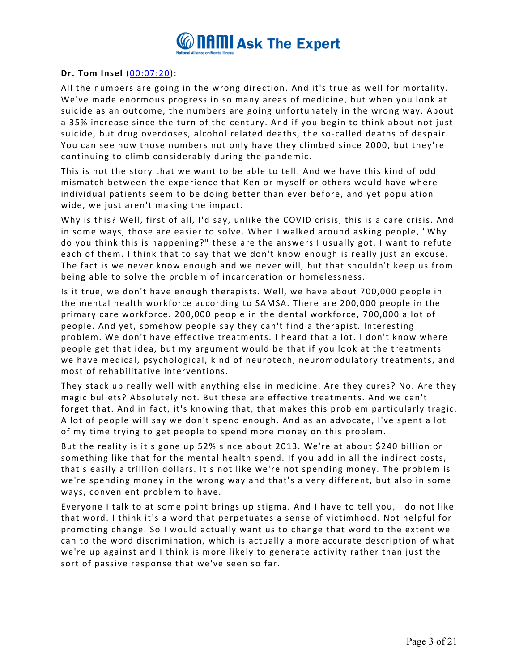

## **Dr. Tom Insel** [\(00:07:20\)](https://www.rev.com/transcript-editor/Edit?token=NBx0vKyHgwBnOYTceDM_QByfp1s3I9KA277mDG4B1EYtOcJJjAwgAhbTRmug3lxKTITPNfZubEOH_vu7Uvl02iqD8TU&loadFrom=DocumentDeeplink&ts=440.51):

All the numbers are going in the wrong direction. And it's true as well for mortality. We've made enormous progress in so many areas of medicine, but when you look at suicide as an outcome, the numbers are going unfortunately in the wrong way. About a 35% increase since the turn of the century. And if you begin to think about not just suicide, but drug overdoses, alcohol related deaths, the so-called deaths of despair. You can see how those numbers not only have they climbed since 2000, but they're continuing to climb considerably during the pandemic.

This is not the story that we want to be able to tell. And we have this kind of odd mismatch between the experience that Ken or myself or others would have where individual patients seem to be doing better than ever before, and yet population wide, we just aren't making the impact.

Why is this? Well, first of all, I'd say, unlike the COVID crisis, this is a care crisis. And in some ways, those are easier to solve. When I walked around asking people, "Why do you think this is happening?" these are the answers I usually got. I want to refute each of them. I think that to say that we don't know enough is really just an excuse. The fact is we never know enough and we never will, but that shouldn't keep us from being able to solve the problem of incarceration or homelessness.

Is it true, we don't have enough therapists. Well, we have about 700,000 people in the mental health workforce according to SAMSA. There are 200,000 people in the primary care workforce. 200,000 people in the dental workforce, 700,000 a lot of people. And yet, somehow people say they can't find a therapist. Interesting problem. We don't have effective treatments. I heard that a lot. I don't know where people get that idea, but my argument would be that if you look at the treatments we have medical, psychological, kind of neurotech, neuromodulatory treatments, and most of rehabilitative interventions.

They stack up really well with anything else in medicine. Are they cures? No. Are they magic bullets? Absolutely not. But these are effective treatments. And we can't forget that. And in fact, it's knowing that, that makes this problem particularly tragic. A lot of people will say we don't spend enough. And as an advocate, I've spent a lot of my time trying to get people to spend more money on this problem.

But the reality is it's gone up 52% since about 2013. We're at about \$240 billion or something like that for the mental health spend. If you add in all the indirect costs, that's easily a trillion dollars. It's not like we're not spending money. The problem is we're spending money in the wrong way and that's a very different, but also in some ways, convenient problem to have.

Everyone I talk to at some point brings up stigma. And I have to tell you, I do not like that word. I think it's a word that perpetuates a sense of victimhood. Not helpful for promoting change. So I would actually want us to change that word to the extent we can to the word discrimination, which is actually a more accurate description of what we're up against and I think is more likely to generate activity rather than just the sort of passive response that we've seen so far.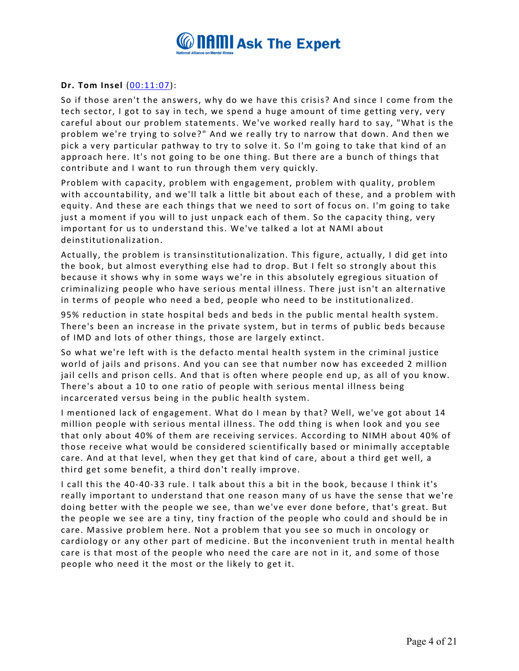

## **Dr. Tom Insel** [\(00:11:07\)](https://www.rev.com/transcript-editor/Edit?token=4SLGXhD1TfsPT9JxGjz8LV9aoMlUaiykHJv_eh88PvukV-x2J4vk0f9ATpu8qKfQ7hM8PFzFZ3GgtEIir9kZH2DLW3M&loadFrom=DocumentDeeplink&ts=667.82):

So if those aren't the answers, why do we have this crisis? And since I come from the tech sector, I got to say in tech, we spend a huge amount of time getting very, very careful about our problem statements. We've worked really hard to say, "What is the problem we're trying to solve?" And we really try to narrow that down. And then we pick a very particular pathway to try to solve it. So I'm going to take that kind of an approach here. It's not going to be one thing. But there are a bunch of things that contribute and I want to run through them very quickly.

Problem with capacity, problem with engagement, problem with quality, problem with accountability, and we'll talk a little bit about each of these, and a problem with equity. And these are each things that we need to sort of focus on. I'm going to take just a moment if you will to just unpack each of them. So the capacity thing, very important for us to understand this. We've talked a lot at NAMI about deinstitutionalization.

Actually, the problem is transinstitutionalization. This figure, actually, I did get into the book, but almost everything else had to drop. But I felt so strongly about this because it shows why in some ways we're in this absolutely egregious situation of criminalizing people who have serious mental illness. There just isn't an alternative in terms of people who need a bed, people who need to be institutionalized.

95% reduction in state hospital beds and beds in the public mental health system. There's been an increase in the private system, but in terms of public beds because of IMD and lots of other things, those are largely extinct.

So what we're left with is the defacto mental health system in the criminal justice world of jails and prisons. And you can see that number now has exceeded 2 million jail cells and prison cells. And that is often where people end up, as all of you know. There's about a 10 to one ratio of people with serious mental illness being incarcerated versus being in the public health system.

I mentioned lack of engagement. What do I mean by that? Well, we've got about 14 million people with serious mental illness. The odd thing is when look and you see that only about 40% of them are receiving services. According to NIMH about 40% of those receive what would be considered scientifically based or minimally acceptable care. And at that level, when they get that kind of care, about a third get well, a third get some benefit, a third don't really improve.

I call this the 40-40-33 rule. I talk about this a bit in the book, because I think it's really important to understand that one reason many of us have the sense that we're doing better with the people we see, than we've ever done before, that's great. But the people we see are a tiny, tiny fraction of the people who could and should be in care. Massive problem here. Not a problem that you see so much in oncology or cardiology or any other part of medicine. But the inconvenient truth in mental health care is that most of the people who need the care are not in it, and some of those people who need it the most or the likely to get it.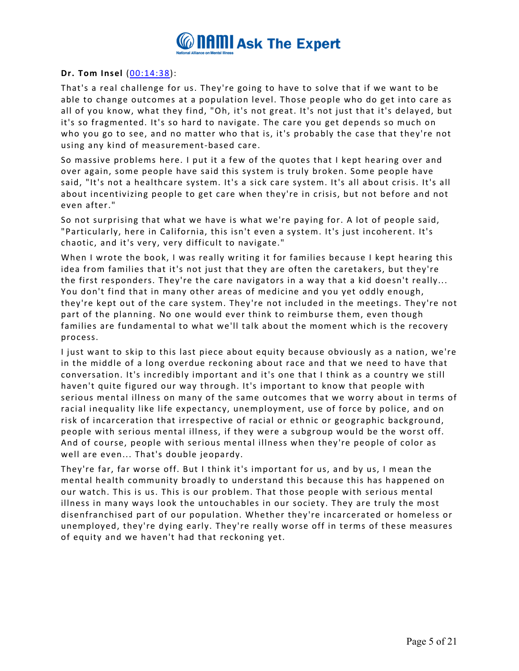

## **Dr. Tom Insel** [\(00:14:38\)](https://www.rev.com/transcript-editor/Edit?token=BlbS3HLJC5lx6MFx2HYsxj1j_NgnQ0XSovFKMn2hTvXuytycbZdjtakfclSnVNFO72NQlZWsYZukEOx5OxJZZ3dyLQA&loadFrom=DocumentDeeplink&ts=878.88):

That's a real challenge for us. They're going to have to solve that if we want to be able to change outcomes at a population level. Those people who do get into care as all of you know, what they find, "Oh, it's not great. It's not just that it's delayed, but it's so fragmented. It's so hard to navigate. The care you get depends so much on who you go to see, and no matter who that is, it's probably the case that they're not using any kind of measurement-based care.

So massive problems here. I put it a few of the quotes that I kept hearing over and over again, some people have said this system is truly broken. Some people have said, "It's not a healthcare system. It's a sick care system. It's all about crisis. It's all about incentivizing people to get care when they're in crisis, but not before and not even after."

So not surprising that what we have is what we're paying for. A lot of people said, "Particularly, here in California, this isn't even a system. It's just incoherent. It's chaotic, and it's very, very difficult to navigate."

When I wrote the book, I was really writing it for families because I kept hearing this idea from families that it's not just that they are often the caretakers, but they're the first responders. They're the care navigators in a way that a kid doesn't really... You don't find that in many other areas of medicine and you yet oddly enough, they're kept out of the care system. They're not included in the meetings. They're not part of the planning. No one would ever think to reimburse them, even though families are fundamental to what we'll talk about the moment which is the recovery process.

I just want to skip to this last piece about equity because obviously as a nation, we're in the middle of a long overdue reckoning about race and that we need to have that conversation. It's incredibly important and it's one that I think as a country we still haven't quite figured our way through. It's important to know that people with serious mental illness on many of the same outcomes that we worry about in terms of racial inequality like life expectancy, unemployment, use of force by police, and on risk of incarceration that irrespective of racial or ethnic or geographic background, people with serious mental illness, if they were a subgroup would be the worst off. And of course, people with serious mental illness when they're people of color as well are even... That's double jeopardy.

They're far, far worse off. But I think it's important for us, and by us, I mean the mental health community broadly to understand this because this has happened on our watch. This is us. This is our problem. That those people with serious mental illness in many ways look the untouchables in our society. They are truly the most disenfranchised part of our population. Whether they're incarcerated or homeless or unemployed, they're dying early. They're really worse off in terms of these measures of equity and we haven't had that reckoning yet.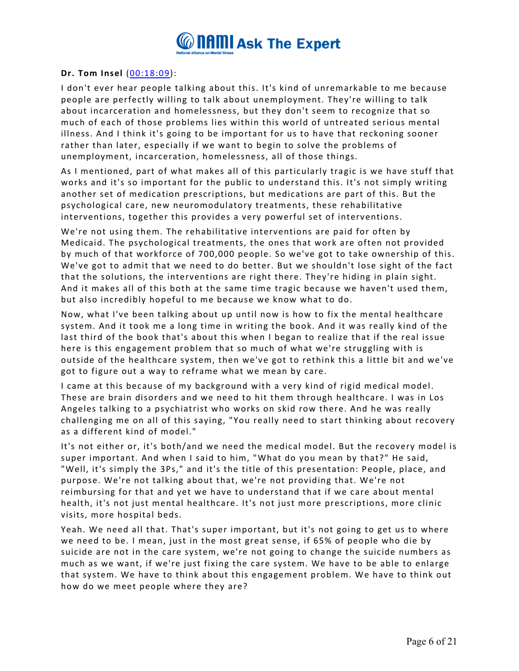

## **Dr. Tom Insel** [\(00:18:09\)](https://www.rev.com/transcript-editor/Edit?token=GyoFaEgsVL4eatKNh18zn5fuqiZfM5McEK3opWTMIW6u0Ea7JKvgDILYslT5CtANHMSYpb5CKV3hhA46PXDQVh-EZQQ&loadFrom=DocumentDeeplink&ts=1089.11):

I don't ever hear people talking about this. It's kind of unremarkable to me because people are perfectly willing to talk about unemployment. They're willing to talk about incarceration and homelessness, but they don't seem to recognize that so much of each of those problems lies within this world of untreated serious mental illness. And I think it's going to be important for us to have that reckoning sooner rather than later, especially if we want to begin to solve the problems of unemployment, incarceration, homelessness, all of those things.

As I mentioned, part of what makes all of this particularly tragic is we have stuff that works and it's so important for the public to understand this. It's not simply writing another set of medication prescriptions, but medications are part of this. But the psychological care, new neuromodulatory treatments, these rehabilitative interventions, together this provides a very powerful set of interventions.

We're not using them. The rehabilitative interventions are paid for often by Medicaid. The psychological treatments, the ones that work are often not provided by much of that workforce of 700,000 people. So we've got to take ownership of this. We've got to admit that we need to do better. But we shouldn't lose sight of the fact that the solutions, the interventions are right there. They're hiding in plain sight. And it makes all of this both at the same time tragic because we haven't used them, but also incredibly hopeful to me because we know what to do.

Now, what I've been talking about up until now is how to fix the mental healthcare system. And it took me a long time in writing the book. And it was really kind of the last third of the book that's about this when I began to realize that if the real issue here is this engagement problem that so much of what we're struggling with is outside of the healthcare system, then we've got to rethink this a little bit and we've got to figure out a way to reframe what we mean by care.

I came at this because of my background with a very kind of rigid medical model. These are brain disorders and we need to hit them through healthcare. I was in Los Angeles talking to a psychiatrist who works on skid row there. And he was really challenging me on all of this saying, "You really need to start thinking about recovery as a different kind of model."

It's not either or, it's both/and we need the medical model. But the recovery model is super important. And when I said to him, "What do you mean by that?" He said, "Well, it's simply the 3Ps," and it's the title of this presentation: People, place, and purpose. We're not talking about that, we're not providing that. We're not reimbursing for that and yet we have to understand that if we care about mental health, it's not just mental healthcare. It's not just more prescriptions, more clinic visits, more hospital beds.

Yeah. We need all that. That's super important, but it's not going to get us to where we need to be. I mean, just in the most great sense, if 65% of people who die by suicide are not in the care system, we're not going to change the suicide numbers as much as we want, if we're just fixing the care system. We have to be able to enlarge that system. We have to think about this engagement problem. We have to think out how do we meet people where they are?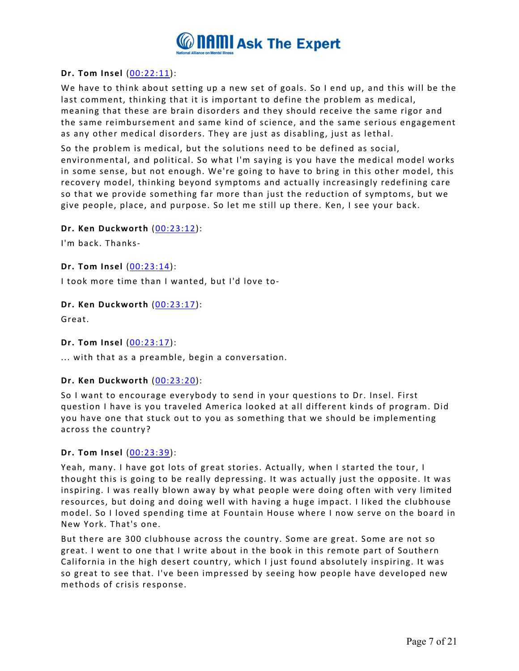

## **Dr. Tom Insel** [\(00:22:11\)](https://www.rev.com/transcript-editor/Edit?token=5N-xH5iI7br0mf4fqLtm9-V64-GmqHqz281uyfh8tJAhC3WowIWGT-GVuyFnuwAiNrH9Xu2XhB4DhTweUCciUI2Jju8&loadFrom=DocumentDeeplink&ts=1331.39):

We have to think about setting up a new set of goals. So I end up, and this will be the last comment, thinking that it is important to define the problem as medical, meaning that these are brain disorders and they should receive the same rigor and the same reimbursement and same kind of science, and the same serious engagement as any other medical disorders. They are just as disabling, just as lethal.

So the problem is medical, but the solutions need to be defined as social, environmental, and political. So what I'm saying is you have the medical model works in some sense, but not enough. We're going to have to bring in this other model, this recovery model, thinking beyond symptoms and actually increasingly redefining care so that we provide something far more than just the reduction of symptoms, but we give people, place, and purpose. So let me still up there. Ken, I see your back.

### **Dr. Ken Duckworth** [\(00:23:12\)](https://www.rev.com/transcript-editor/Edit?token=QolRtgLmKtaOdG4NAIfXwEUKQmIHBL8EIfC8xKNfVI6DbzBDdsUI4gGPlkw_trwOGE-njPojYH2KFlV8GGRl7Ow3GX8&loadFrom=DocumentDeeplink&ts=1392.75):

I'm back. Thanks-

### **Dr. Tom Insel** [\(00:23:14\)](https://www.rev.com/transcript-editor/Edit?token=juXha_4QhLgoXspOJ2bXN9sRh9izIGfv6hBgurtY13VSD7gpTjF0a5Ot8jh_nmscM52pOAVxfBQcXVXWqvhyU12wKAk&loadFrom=DocumentDeeplink&ts=1394.17):

I took more time than I wanted, but I'd love to-

#### **Dr. Ken Duckworth** [\(00:23:17\)](https://www.rev.com/transcript-editor/Edit?token=vVV7cLVZbLRf_xmvNPFjBgmbxJ2lXGKZjaw7cXBlSnK39L4nu5a1ZZlRqxLoHXs6v1uVZtqwuc__WA4Rgb-L5BO3D_0&loadFrom=DocumentDeeplink&ts=1397.03):

Great.

### **Dr. Tom Insel** [\(00:23:17\)](https://www.rev.com/transcript-editor/Edit?token=d8vNJRUyNuF8HzBmeLo5CdEjIEygUjAaP4Iq0aXKi60ceJEpzt7auICvUUDNUxV-Js4wmVhHOnFsjJEkAh8XbeXeZrc&loadFrom=DocumentDeeplink&ts=1397.42):

... with that as a preamble, begin a conversation.

#### **Dr. Ken Duckworth** [\(00:23:20\)](https://www.rev.com/transcript-editor/Edit?token=LRDOvq0fuEjeA0YTptVqv4BaqagUUfG-0iJi1Cx5FRKANf4stxAfanD5aEssnFRPF-QDYzOhQoVqQSTXiho6cusWCXg&loadFrom=DocumentDeeplink&ts=1400.76):

So I want to encourage everybody to send in your questions to Dr. Insel. First question I have is you traveled America looked at all different kinds of program. Did you have one that stuck out to you as something that we should be implementing across the country?

### **Dr. Tom Insel** [\(00:23:39\)](https://www.rev.com/transcript-editor/Edit?token=NZBxxyEIXDHecvy4G4RqB4otrkWLOtfXjZGUklObpHbFqMksxP1p7LbnXsBl4LaiBNiK2qwqpL-113xUBRgT_Ug_VWM&loadFrom=DocumentDeeplink&ts=1419.91):

Yeah, many. I have got lots of great stories. Actually, when I started the tour, I thought this is going to be really depressing. It was actually just the opposite. It was inspiring. I was really blown away by what people were doing often with very limited resources, but doing and doing well with having a huge impact. I liked the clubhouse model. So I loved spending time at Fountain House where I now serve on the board in New York. That's one.

But there are 300 clubhouse across the country. Some are great. Some are not so great. I went to one that I write about in the book in this remote part of Southern California in the high desert country, which I just found absolutely inspiring. It was so great to see that. I've been impressed by seeing how people have developed new methods of crisis response.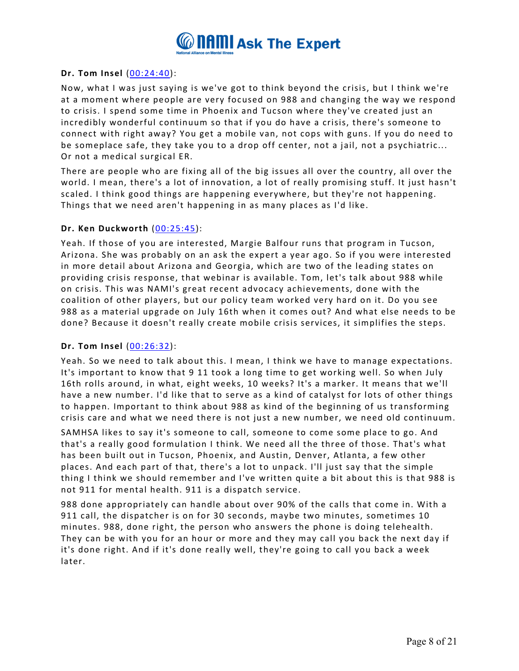

## **Dr. Tom Insel** [\(00:24:40\)](https://www.rev.com/transcript-editor/Edit?token=ZqSMwPsCgj8w0gZeupc_5n0-RVsoUnwoGKZlv5m2HCBnQHfw4pjt_BKdFDP8_Ax_u9mdhdCVSYKviQ3_ozpfg5dDLLA&loadFrom=DocumentDeeplink&ts=1480.47):

Now, what I was just saying is we've got to think beyond the crisis, but I think we're at a moment where people are very focused on 988 and changing the way we respond to crisis. I spend some time in Phoenix and Tucson where they've created just an incredibly wonderful continuum so that if you do have a crisis, there's someone to connect with right away? You get a mobile van, not cops with guns. If you do need to be someplace safe, they take you to a drop off center, not a jail, not a psychiatric... Or not a medical surgical ER.

There are people who are fixing all of the big issues all over the country, all over the world. I mean, there's a lot of innovation, a lot of really promising stuff. It just hasn't scaled. I think good things are happening everywhere, but they're not happening. Things that we need aren't happening in as many places as I'd like.

## **Dr. Ken Duckworth** [\(00:25:45\)](https://www.rev.com/transcript-editor/Edit?token=Bo0rDugyhmrauo3UM2hGkTF7ITCICKFvtwrVIFJsTDFlBqtZM_buZ2GMq8PcEUho6yNu2GXxMRjSG0f2bXIsVlYJAZY&loadFrom=DocumentDeeplink&ts=1545.47):

Yeah. If those of you are interested, Margie Balfour runs that program in Tucson, Arizona. She was probably on an ask the expert a year ago. So if you were interested in more detail about Arizona and Georgia, which are two of the leading states on providing crisis response, that webinar is available. Tom, let's talk about 988 while on crisis. This was NAMI's great recent advocacy achievements, done with the coalition of other players, but our policy team worked very hard on it. Do you see 988 as a material upgrade on July 16th when it comes out? And what else needs to be done? Because it doesn't really create mobile crisis services, it simplifies the steps.

### **Dr. Tom Insel** [\(00:26:32\)](https://www.rev.com/transcript-editor/Edit?token=ZxJotfwOXNvaeideL8RTrVPqdI1Jv7sS1uCaW9emJ1RXu0v8urW_Fye47yQdCj-WYm2l08htifPtJSYClmmpt2OHzIU&loadFrom=DocumentDeeplink&ts=1592.87):

Yeah. So we need to talk about this. I mean, I think we have to manage expectations. It's important to know that 9 11 took a long time to get working well. So when July 16th rolls around, in what, eight weeks, 10 weeks? It's a marker. It means that we'll have a new number. I'd like that to serve as a kind of catalyst for lots of other things to happen. Important to think about 988 as kind of the beginning of us transforming crisis care and what we need there is not just a new number, we need old continuum.

SAMHSA likes to say it's someone to call, someone to come some place to go. And that's a really good formulation I think. We need all the three of those. That's what has been built out in Tucson, Phoenix, and Austin, Denver, Atlanta, a few other places. And each part of that, there's a lot to unpack. I'll just say that the simple thing I think we should remember and I've written quite a bit about this is that 988 is not 911 for mental health. 911 is a dispatch service.

988 done appropriately can handle about over 90% of the calls that come in. With a 911 call, the dispatcher is on for 30 seconds, maybe two minutes, sometimes 10 minutes. 988, done right, the person who answers the phone is doing telehealth. They can be with you for an hour or more and they may call you back the next day if it's done right. And if it's done really well, they're going to call you back a week later.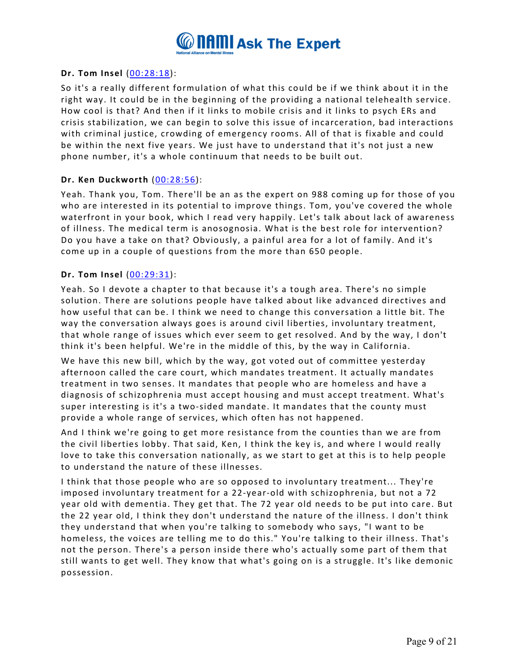

## **Dr. Tom Insel** [\(00:28:18\)](https://www.rev.com/transcript-editor/Edit?token=aSEef9D2_ExNZOYJsmQOhC3DYJoj8qs1-_qGGiin2_NNQ4ApHFRWm0uZAEnon30H7d5TgADQTTdSlxvXYRKMixnLxww&loadFrom=DocumentDeeplink&ts=1698.06):

So it's a really different formulation of what this could be if we think about it in the right way. It could be in the beginning of the providing a national telehealth service. How cool is that? And then if it links to mobile crisis and it links to psych ERs and crisis stabilization, we can begin to solve this issue of incarceration, bad interactions with criminal justice, crowding of emergency rooms. All of that is fixable and could be within the next five years. We just have to understand that it's not just a new phone number, it's a whole continuum that needs to be built out.

## **Dr. Ken Duckworth** [\(00:28:56\)](https://www.rev.com/transcript-editor/Edit?token=JfOZLSA4Dq0f4eAzXTejp8LBRND_Q0IexRsPP763SXALasm_tVi3n8JuYP3WxwGxfI-hTyJj_RhENLyAN6LPxE3kWao&loadFrom=DocumentDeeplink&ts=1736.63):

Yeah. Thank you, Tom. There'll be an as the expert on 988 coming up for those of you who are interested in its potential to improve things. Tom, you've covered the whole waterfront in your book, which I read very happily. Let's talk about lack of awareness of illness. The medical term is anosognosia. What is the best role for intervention? Do you have a take on that? Obviously, a painful area for a lot of family. And it's come up in a couple of questions from the more than 650 people.

## **Dr. Tom Insel** [\(00:29:31\)](https://www.rev.com/transcript-editor/Edit?token=RWZzVubAEGH_SAnqxtDqB2dRpg-S9vt4oR6LrXCCC0Rfni21EIzPQQCMdA1NsL8K5dGBJ1ScL8KZZSkhPriOf2rg3tA&loadFrom=DocumentDeeplink&ts=1771.31):

Yeah. So I devote a chapter to that because it's a tough area. There's no simple solution. There are solutions people have talked about like advanced directives and how useful that can be. I think we need to change this conversation a little bit. The way the conversation always goes is around civil liberties, involuntary treatment, that whole range of issues which ever seem to get resolved. And by the way, I don't think it's been helpful. We're in the middle of this, by the way in California.

We have this new bill, which by the way, got voted out of committee yesterday afternoon called the care court, which mandates treatment. It actually mandates treatment in two senses. It mandates that people who are homeless and have a diagnosis of schizophrenia must accept housing and must accept treatment. What's super interesting is it's a two-sided mandate. It mandates that the county must provide a whole range of services, which often has not happened.

And I think we're going to get more resistance from the counties than we are from the civil liberties lobby. That said, Ken, I think the key is, and where I would really love to take this conversation nationally, as we start to get at this is to help people to understand the nature of these illnesses.

I think that those people who are so opposed to involuntary treatment... They're imposed involuntary treatment for a 22-year-old with schizophrenia, but not a 72 year old with dementia. They get that. The 72 year old needs to be put into care. But the 22 year old, I think they don't understand the nature of the illness. I don't think they understand that when you're talking to somebody who says, "I want to be homeless, the voices are telling me to do this." You're talking to their illness. That's not the person. There's a person inside there who's actually some part of them that still wants to get well. They know that what's going on is a struggle. It's like demonic possession.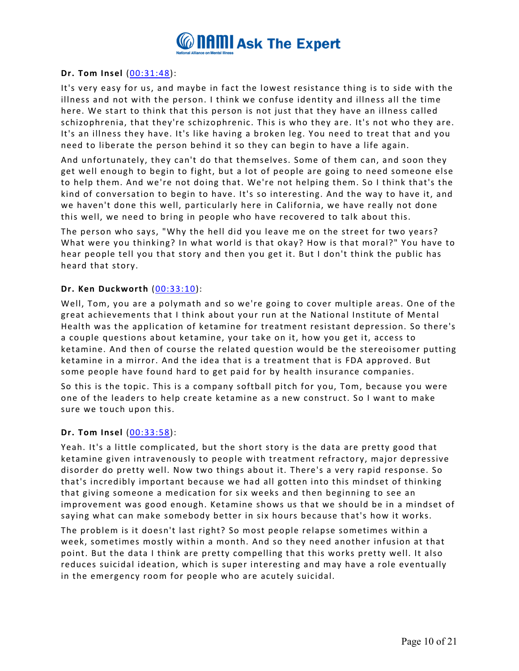

## **Dr. Tom Insel** [\(00:31:48\)](https://www.rev.com/transcript-editor/Edit?token=gTBKAb-8KEomGtjcGIjODc0toqBvxBZPHUncCiVqk0weu9_z9lHV8RgcBELZq1qebJ6LiNP_jm_m8uNTJxF2PlSNGUc&loadFrom=DocumentDeeplink&ts=1908.9):

It's very easy for us, and maybe in fact the lowest resistance thing is to side with the illness and not with the person. I think we confuse identity and illness all the time here. We start to think that this person is not just that they have an illness called schizophrenia, that they're schizophrenic. This is who they are. It's not who they are. It's an illness they have. It's like having a broken leg. You need to treat that and you need to liberate the person behind it so they can begin to have a life again.

And unfortunately, they can't do that themselves. Some of them can, and soon they get well enough to begin to fight, but a lot of people are going to need someone else to help them. And we're not doing that. We're not helping them. So I think that's the kind of conversation to begin to have. It's so interesting. And the way to have it, and we haven't done this well, particularly here in California, we have really not done this well, we need to bring in people who have recovered to talk about this.

The person who says, "Why the hell did you leave me on the street for two years? What were you thinking? In what world is that okay? How is that moral?" You have to hear people tell you that story and then you get it. But I don't think the public has heard that story.

## **Dr. Ken Duckworth** [\(00:33:10\)](https://www.rev.com/transcript-editor/Edit?token=M3e7Vlqqzw5SizHQwAgp6ADYH6TUaNocrV32wNcU4btf7mMwJNq75pCILKZCEmg7AhqTI_dcee81odbM6SuTVts-J6Q&loadFrom=DocumentDeeplink&ts=1990.81):

Well, Tom, you are a polymath and so we're going to cover multiple areas. One of the great achievements that I think about your run at the National Institute of Mental Health was the application of ketamine for treatment resistant depression. So there's a couple questions about ketamine, your take on it, how you get it, access to ketamine. And then of course the related question would be the stereoisomer putting ketamine in a mirror. And the idea that is a treatment that is FDA approved. But some people have found hard to get paid for by health insurance companies.

So this is the topic. This is a company softball pitch for you, Tom, because you were one of the leaders to help create ketamine as a new construct. So I want to make sure we touch upon this.

### **Dr. Tom Insel** [\(00:33:58\)](https://www.rev.com/transcript-editor/Edit?token=zFBsLfq6ziewdRYRVMGHCYaxA_MKrdpuZSXtPvUqKnqqfDwY3EMU2sNsQrd-vpqQJlO_qB5AHnVVUpoApA58lAJYYe8&loadFrom=DocumentDeeplink&ts=2038.55):

Yeah. It's a little complicated, but the short story is the data are pretty good that ketamine given intravenously to people with treatment refractory, major depressive disorder do pretty well. Now two things about it. There's a very rapid response. So that's incredibly important because we had all gotten into this mindset of thinking that giving someone a medication for six weeks and then beginning to see an improvement was good enough. Ketamine shows us that we should be in a mindset of saying what can make somebody better in six hours because that's how it works.

The problem is it doesn't last right? So most people relapse sometimes within a week, sometimes mostly within a month. And so they need another infusion at that point. But the data I think are pretty compelling that this works pretty well. It also reduces suicidal ideation, which is super interesting and may have a role eventually in the emergency room for people who are acutely suicidal.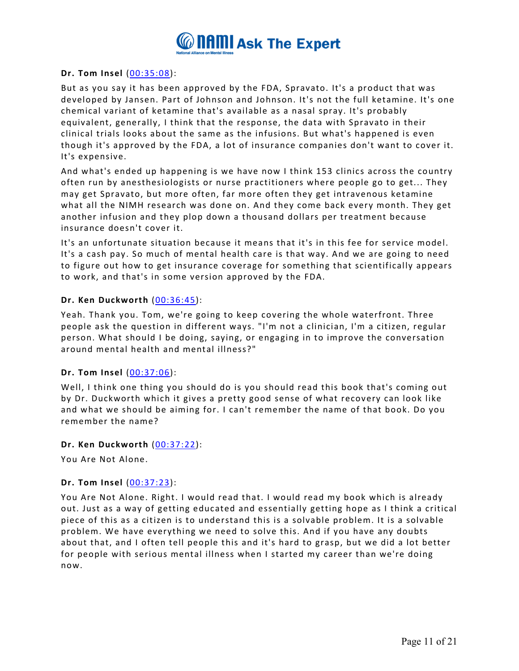

## **Dr. Tom Insel** [\(00:35:08\)](https://www.rev.com/transcript-editor/Edit?token=KzirN90gLc_66mIlLrU32J4DRB5iism02AkOKA1mCDLEe7l6HxfBzmc3h3DPPIM2XMgnG5PQaZtHP-S6N1PYrLwYkbU&loadFrom=DocumentDeeplink&ts=2108.97):

But as you say it has been approved by the FDA, Spravato. It's a product that was developed by Jansen. Part of Johnson and Johnson. It's not the full ketamine. It's one chemical variant of ketamine that's available as a nasal spray. It's probably equivalent, generally, I think that the response, the data with Spravato in their clinical trials looks about the same as the infusions. But what's happened is even though it's approved by the FDA, a lot of insurance companies don't want to cover it. It's expensive.

And what's ended up happening is we have now I think 153 clinics across the country often run by anesthesiologists or nurse practitioners where people go to get... They may get Spravato, but more often, far more often they get intravenous ketamine what all the NIMH research was done on. And they come back every month. They get another infusion and they plop down a thousand dollars per treatment because insurance doesn't cover it.

It's an unfortunate situation because it means that it's in this fee for service model. It's a cash pay. So much of mental health care is that way. And we are going to need to figure out how to get insurance coverage for something that scientifically appears to work, and that's in some version approved by the FDA.

## **Dr. Ken Duckworth** [\(00:36:45\)](https://www.rev.com/transcript-editor/Edit?token=wmY3DJr1AHW8G0nrqI-6irdUtKCbodJQ8DEjyT1DZOo3Y8h4ZSh1XFMsVmLx-lX74ePvBmROTlunQJYu6JjPNQYR1YQ&loadFrom=DocumentDeeplink&ts=2205.93):

Yeah. Thank you. Tom, we're going to keep covering the whole waterfront. Three people ask the question in different ways. "I'm not a clinician, I'm a citizen, regular person. What should I be doing, saying, or engaging in to improve the conversation around mental health and mental illness?"

### **Dr. Tom Insel** [\(00:37:06\)](https://www.rev.com/transcript-editor/Edit?token=GKNzkRK8oGpSGoMJtQQ-Sy3BC9ymNSIgGkOmVYUH0KGYCsI7B9_6SNbWLeh6Efl6c_uKWDjKOhma8Xc152xrcSScWWE&loadFrom=DocumentDeeplink&ts=2226.7):

Well, I think one thing you should do is you should read this book that's coming out by Dr. Duckworth which it gives a pretty good sense of what recovery can look like and what we should be aiming for. I can't remember the name of that book. Do you remember the name?

### **Dr. Ken Duckworth** [\(00:37:22\)](https://www.rev.com/transcript-editor/Edit?token=L5ytipVBZhj3qZNHWEvWHsQBNam5tduJQKGd7pcTqEsSMK2AsBhYeWpP8_Uiy7J2Gd75VsyA7g8iBNK2yJxBMr07_wM&loadFrom=DocumentDeeplink&ts=2242.16):

You Are Not Alone.

### **Dr. Tom Insel** [\(00:37:23\)](https://www.rev.com/transcript-editor/Edit?token=bCgiPSq0szOrOc_jzSi9phe4qOnnIdSnsQ1NwCJrN_lfivpsLdMvMM8J27tNEafGJraEzWkilF0Tjovsa3w6zEjb-4I&loadFrom=DocumentDeeplink&ts=2243.49):

You Are Not Alone. Right. I would read that. I would read my book which is already out. Just as a way of getting educated and essentially getting hope as I think a critical piece of this as a citizen is to understand this is a solvable problem. It is a solvable problem. We have everything we need to solve this. And if you have any doubts about that, and I often tell people this and it's hard to grasp, but we did a lot better for people with serious mental illness when I started my career than we're doing now.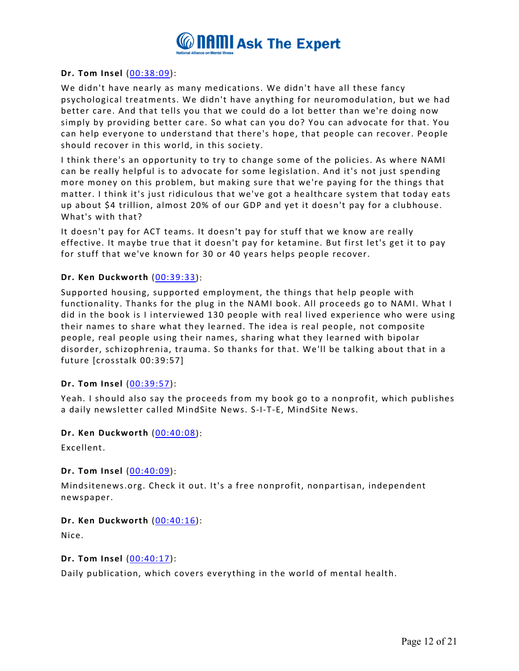

## **Dr. Tom Insel** [\(00:38:09\)](https://www.rev.com/transcript-editor/Edit?token=z8-rh4kwZvbnfIFUH1YoN71hvVPqZKWsNmKGKCYRCgWMSGpjl8Vro5Hmp6FMVEUtSPHy9fJKlTa1aCtvs2pD1suY2pk&loadFrom=DocumentDeeplink&ts=2289.36):

We didn't have nearly as many medications. We didn't have all these fancy psychological treatments. We didn't have anything for neuromodulation, but we had better care. And that tells you that we could do a lot better than we're doing now simply by providing better care. So what can you do? You can advocate for that. You can help everyone to understand that there's hope, that people can recover. People should recover in this world, in this society.

I think there's an opportunity to try to change some of the policies. As where NAMI can be really helpful is to advocate for some legislation. And it's not just spending more money on this problem, but making sure that we're paying for the things that matter. I think it's just ridiculous that we've got a healthcare system that today eats up about \$4 trillion, almost 20% of our GDP and yet it doesn't pay for a clubhouse. What's with that?

It doesn't pay for ACT teams. It doesn't pay for stuff that we know are really effective. It maybe true that it doesn't pay for ketamine. But first let's get it to pay for stuff that we've known for 30 or 40 years helps people recover.

## **Dr. Ken Duckworth** [\(00:39:33\)](https://www.rev.com/transcript-editor/Edit?token=B1zjqhPH85TxLK9uDaZSNIl7GAyl25OBR6EpeG9vOjtu3AKIdwxw5hzuLrxocwNcgNBcdJzhHqczhjoSfmbjQr0Buig&loadFrom=DocumentDeeplink&ts=2373.21):

Supported housing, supported employment, the things that help people with functionality. Thanks for the plug in the NAMI book. All proceeds go to NAMI. What I did in the book is I interviewed 130 people with real lived experience who were using their names to share what they learned. The idea is real people, not composite people, real people using their names, sharing what they learned with bipolar disorder, schizophrenia, trauma. So thanks for that. We'll be talking about that in a future [crosstalk 00:39:57]

### **Dr. Tom Insel** [\(00:39:57\)](https://www.rev.com/transcript-editor/Edit?token=8S3MOWsWXfInqOK5ZLAyeSXGoW5atAukB3i1VPRA23aT8FPwEeGtDOlQIQayz-pqJxlhndOx40IdeoEpju2y0FBDSQI&loadFrom=DocumentDeeplink&ts=2397.11):

Yeah. I should also say the proceeds from my book go to a nonprofit, which publishes a daily newsletter called MindSite News. S-I-T-E, MindSite News.

### **Dr. Ken Duckworth** [\(00:40:08\)](https://www.rev.com/transcript-editor/Edit?token=3m7neOxxoy3xBYwHj9ScOKIOcxr0KcTf_lvdM9t0cUQlNGzMwKYjLl20yj1lzXol_77LkrXYmPJpfU6QK1ugk07OP1s&loadFrom=DocumentDeeplink&ts=2408.48):

Excellent.

### **Dr. Tom Insel** [\(00:40:09\)](https://www.rev.com/transcript-editor/Edit?token=_nB7n-Ok0fKQbBb3HE4SSFtdu8jyh6KZ8cafohrOpZg7R-A0xpKvfxv2SvI3hMXNdzwnbQDXLVwFQ_h5QSWBrpkz23U&loadFrom=DocumentDeeplink&ts=2409.87):

Mindsitenews.org. Check it out. It's a free nonprofit, nonpartisan, independent newspaper.

### **Dr. Ken Duckworth** [\(00:40:16\)](https://www.rev.com/transcript-editor/Edit?token=DF-NgAoC-QP0x0incZd209-IfK-8XK1aRY75BjTMwc7ROOoQ1gAZ-ivrsKVDWIo9zyhOFVDRSpQIFmfCUJHRX5lpwyc&loadFrom=DocumentDeeplink&ts=2416.64):

Nice.

### **Dr. Tom Insel** [\(00:40:17\)](https://www.rev.com/transcript-editor/Edit?token=emw-x07lxGsE5N4m9mqha2Tq8G3-9el_sIp9JXQMYizdl4xqszRBQPmPYW_1S4hKSb2Xdwkqkfeg_543jS66QyJY-vA&loadFrom=DocumentDeeplink&ts=2417.32):

Daily publication, which covers everything in the world of mental health.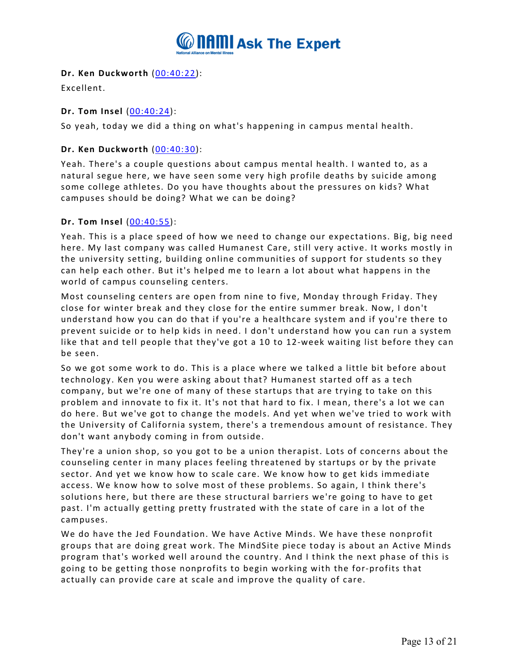

# **Dr. Ken Duckworth** [\(00:40:22\)](https://www.rev.com/transcript-editor/Edit?token=Rvqg7eL8w4GuoEXBsd8GGK8KddPYKcBjLZt27HZEy_HR8rVCSOKZxikOHjfQgga762q8zjhIG5Gfoi4vQUuyYh9r0Gc&loadFrom=DocumentDeeplink&ts=2422.95):

Excellent.

# **Dr. Tom Insel** [\(00:40:24\)](https://www.rev.com/transcript-editor/Edit?token=ewt25S5-HDvIBwP4KHF_5p8Minj3pq7FI9w3uI52aU5f4pHpJWXJFQn3fJeR9TDbd94qDHCEGYxSNm-NJDobq_hIzEA&loadFrom=DocumentDeeplink&ts=2424.2):

So yeah, today we did a thing on what's happening in campus mental health.

## **Dr. Ken Duckworth** [\(00:40:30\)](https://www.rev.com/transcript-editor/Edit?token=-JDU1gpWi_mGkeaC4AHoC3EIeV7fv1r_Nsi6pPf5jQfKYqJnzMsPKXglRJQbgaIRP6VSCbp3HjgWVehxiaH-txtSu8g&loadFrom=DocumentDeeplink&ts=2430.31):

Yeah. There's a couple questions about campus mental health. I wanted to, as a natural segue here, we have seen some very high profile deaths by suicide among some college athletes. Do you have thoughts about the pressures on kids? What campuses should be doing? What we can be doing?

## **Dr. Tom Insel** [\(00:40:55\)](https://www.rev.com/transcript-editor/Edit?token=HCkQfcmz06BFEROmbleMXKZ4J-bYEpcR4GUUfqtumou_Bd5WIPU9tg33fCzbxeBeWdlObEcIrdRcuCp5akshPt4pWBs&loadFrom=DocumentDeeplink&ts=2455.77):

Yeah. This is a place speed of how we need to change our expectations. Big, big need here. My last company was called Humanest Care, still very active. It works mostly in the university setting, building online communities of support for students so they can help each other. But it's helped me to learn a lot about what happens in the world of campus counseling centers.

Most counseling centers are open from nine to five, Monday through Friday. They close for winter break and they close for the entire summer break. Now, I don't understand how you can do that if you're a healthcare system and if you're there to prevent suicide or to help kids in need. I don't understand how you can run a system like that and tell people that they've got a 10 to 12-week waiting list before they can be seen.

So we got some work to do. This is a place where we talked a little bit before about technology. Ken you were asking about that? Humanest started off as a tech company, but we're one of many of these startups that are trying to take on this problem and innovate to fix it. It's not that hard to fix. I mean, there's a lot we can do here. But we've got to change the models. And yet when we've tried to work with the University of California system, there's a tremendous amount of resistance. They don't want anybody coming in from outside.

They're a union shop, so you got to be a union therapist. Lots of concerns about the counseling center in many places feeling threatened by startups or by the private sector. And yet we know how to scale care. We know how to get kids immediate access. We know how to solve most of these problems. So again, I think there's solutions here, but there are these structural barriers we're going to have to get past. I'm actually getting pretty frustrated with the state of care in a lot of the campuses.

We do have the Jed Foundation. We have Active Minds. We have these nonprofit groups that are doing great work. The MindSite piece today is about an Active Minds program that's worked well around the country. And I think the next phase of this is going to be getting those nonprofits to begin working with the for-profits that actually can provide care at scale and improve the quality of care.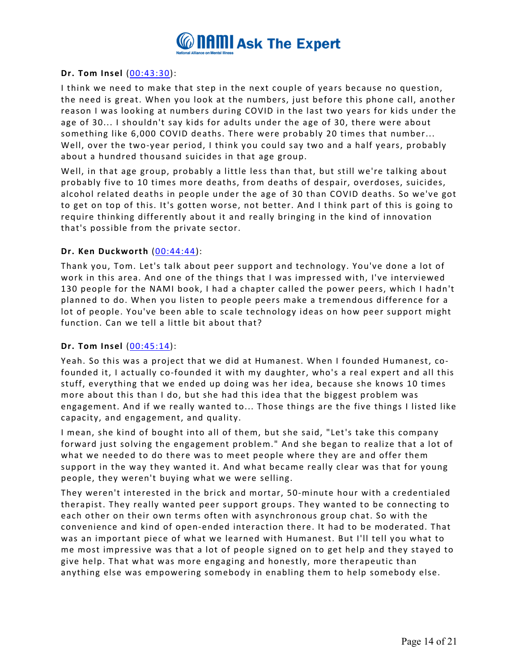

## **Dr. Tom Insel** [\(00:43:30\)](https://www.rev.com/transcript-editor/Edit?token=KGYFa15OAgOZFUk7Sp408S9-fVWThZzg9wKpe530MUhrX4v-9IIU6UZK8ZLvlSEDJn2JfglFbr9Q8qltOAYXZXGwuTA&loadFrom=DocumentDeeplink&ts=2610.17):

I think we need to make that step in the next couple of years because no question, the need is great. When you look at the numbers, just before this phone call, another reason I was looking at numbers during COVID in the last two years for kids under the age of 30... I shouldn't say kids for adults under the age of 30, there were about something like 6,000 COVID deaths. There were probably 20 times that number... Well, over the two-year period, I think you could say two and a half years, probably about a hundred thousand suicides in that age group.

Well, in that age group, probably a little less than that, but still we're talking about probably five to 10 times more deaths, from deaths of despair, overdoses, suicides, alcohol related deaths in people under the age of 30 than COVID deaths. So we've got to get on top of this. It's gotten worse, not better. And I think part of this is going to require thinking differently about it and really bringing in the kind of innovation that's possible from the private sector.

## **Dr. Ken Duckworth** [\(00:44:44\)](https://www.rev.com/transcript-editor/Edit?token=21J6KDFTKhezBnlScM2nbWPNV7IkucvlKrb8EJIFq3Khqkl4AGEM4bB1gG2B4KynBAadtj5hyzffy3O8e3brESXZuis&loadFrom=DocumentDeeplink&ts=2684.82):

Thank you, Tom. Let's talk about peer support and technology. You've done a lot of work in this area. And one of the things that I was impressed with, I've interviewed 130 people for the NAMI book, I had a chapter called the power peers, which I hadn't planned to do. When you listen to people peers make a tremendous difference for a lot of people. You've been able to scale technology ideas on how peer support might function. Can we tell a little bit about that?

### **Dr. Tom Insel** [\(00:45:14\)](https://www.rev.com/transcript-editor/Edit?token=QrDOjUrRstOlaM93OrHIekEgMD51WWqiK_P3Qw05QMw_Cuz99_iOScUCUx0xZiMfz5y43vxv8gcve58rDXrt1B31MIo&loadFrom=DocumentDeeplink&ts=2714.32):

Yeah. So this was a project that we did at Humanest. When I founded Humanest, cofounded it, I actually co-founded it with my daughter, who's a real expert and all this stuff, everything that we ended up doing was her idea, because she knows 10 times more about this than I do, but she had this idea that the biggest problem was engagement. And if we really wanted to... Those things are the five things I listed like capacity, and engagement, and quality.

I mean, she kind of bought into all of them, but she said, "Let's take this company forward just solving the engagement problem." And she began to realize that a lot of what we needed to do there was to meet people where they are and offer them support in the way they wanted it. And what became really clear was that for young people, they weren't buying what we were selling.

They weren't interested in the brick and mortar, 50-minute hour with a credentialed therapist. They really wanted peer support groups. They wanted to be connecting to each other on their own terms often with asynchronous group chat. So with the convenience and kind of open-ended interaction there. It had to be moderated. That was an important piece of what we learned with Humanest. But I'll tell you what to me most impressive was that a lot of people signed on to get help and they stayed to give help. That what was more engaging and honestly, more therapeutic than anything else was empowering somebody in enabling them to help somebody else.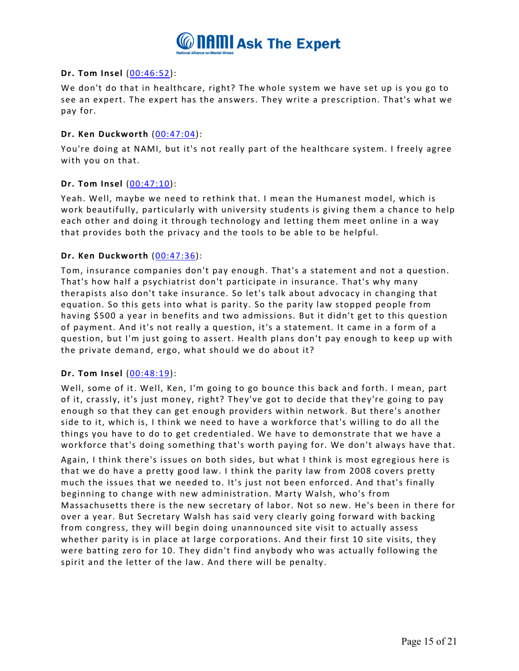

## **Dr. Tom Insel** [\(00:46:52\)](https://www.rev.com/transcript-editor/Edit?token=zY57T-My-x87nhZVBsbtQ1p1BEmVAhmyMQOZhuIFadRDj-sx8KkSpM3B2TmTSPQjNVU9UHypLWYqDTvOsanjvyYt_to&loadFrom=DocumentDeeplink&ts=2812.31):

We don't do that in healthcare, right? The whole system we have set up is you go to see an expert. The expert has the answers. They write a prescription. That's what we pay for.

## **Dr. Ken Duckworth** [\(00:47:04\)](https://www.rev.com/transcript-editor/Edit?token=ahEUhPMexbbeeGtICs6NyaDCAkWxPSRxmIizVCYeJB4Ex8DIzHWYUAl2kwhDV5xfNo0Jqhtpk_wlpiYlz0vH86HbwzI&loadFrom=DocumentDeeplink&ts=2824.2):

You're doing at NAMI, but it's not really part of the healthcare system. I freely agree with you on that.

## **Dr. Tom Insel** [\(00:47:10\)](https://www.rev.com/transcript-editor/Edit?token=z8pUEXSMBFugVzq89_VLVOoV262hTb85bujFvM79DFUTAgAnZDpqYIMq-UfcjMM0idIlO3e7aoY35uLDtMhhpO_wP2M&loadFrom=DocumentDeeplink&ts=2830.5):

Yeah. Well, maybe we need to rethink that. I mean the Humanest model, which is work beautifully, particularly with university students is giving them a chance to help each other and doing it through technology and letting them meet online in a way that provides both the privacy and the tools to be able to be helpful.

## **Dr. Ken Duckworth** [\(00:47:36\)](https://www.rev.com/transcript-editor/Edit?token=us8rEli4OPcztjgMjqcNvfZ37PggJ4ISUIfmi0F0U8CX71EBwVIONaivhczPSQTeMCmk5wzLuH3aw7pSIcWdI_Wle30&loadFrom=DocumentDeeplink&ts=2856.43):

Tom, insurance companies don't pay enough. That's a statement and not a question. That's how half a psychiatrist don't participate in insurance. That's why many therapists also don't take insurance. So let's talk about advocacy in changing that equation. So this gets into what is parity. So the parity law stopped people from having \$500 a year in benefits and two admissions. But it didn't get to this question of payment. And it's not really a question, it's a statement. It came in a form of a question, but I'm just going to assert. Health plans don't pay enough to keep up with the private demand, ergo, what should we do about it?

### **Dr. Tom Insel** [\(00:48:19\)](https://www.rev.com/transcript-editor/Edit?token=Y4NzgYsH6aJWLXbZOQJsrLXkRBXE7Z6DYSpdaUwfiHmZTBmKfOFJJBw6JB1sw5LO_SeHQYfw0AG3jyoY_jlkxs38QFI&loadFrom=DocumentDeeplink&ts=2899.2):

Well, some of it. Well, Ken, I'm going to go bounce this back and forth. I mean, part of it, crassly, it's just money, right? They've got to decide that they're going to pay enough so that they can get enough providers within network. But there's another side to it, which is, I think we need to have a workforce that's willing to do all the things you have to do to get credentialed. We have to demonstrate that we have a workforce that's doing something that's worth paying for. We don't always have that.

Again, I think there's issues on both sides, but what I think is most egregious here is that we do have a pretty good law. I think the parity law from 2008 covers pretty much the issues that we needed to. It's just not been enforced. And that's finally beginning to change with new administration. Marty Walsh, who's from Massachusetts there is the new secretary of labor. Not so new. He's been in there for over a year. But Secretary Walsh has said very clearly going forward with backing from congress, they will begin doing unannounced site visit to actually assess whether parity is in place at large corporations. And their first 10 site visits, they were batting zero for 10. They didn't find anybody who was actually following the spirit and the letter of the law. And there will be penalty.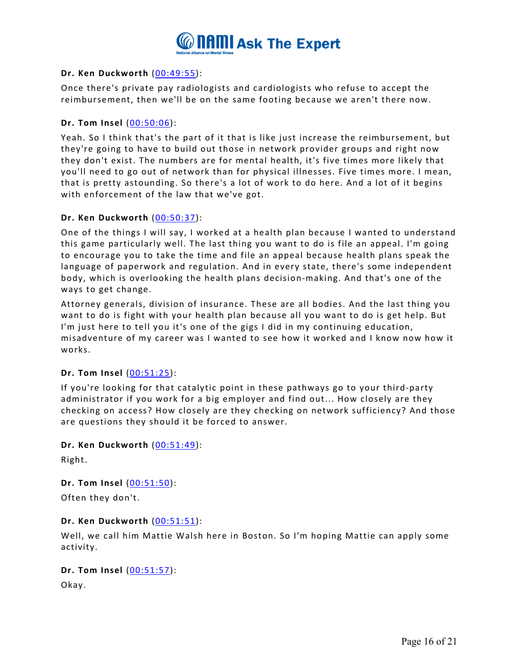

## **Dr. Ken Duckworth** [\(00:49:55\)](https://www.rev.com/transcript-editor/Edit?token=T0GGPAY1Kl3HV4yVwpO4qy0kp2miWRPo7Dt48RxC5URFEJqkPCRvVuctBrpnmdsofpT-40Ztcb9y2q-nQ3oq7DMflOE&loadFrom=DocumentDeeplink&ts=2995.24):

Once there's private pay radiologists and cardiologists who refuse to accept the reimbursement, then we'll be on the same footing because we aren't there now.

## **Dr. Tom Insel** [\(00:50:06\)](https://www.rev.com/transcript-editor/Edit?token=nZ6UCdWqVl8OryHoDEzxXc4O34_4SiSLo5fZMCBI7R3KVPIyjxss-WjZMk1xcuGBWWpPcA7RQug2LDwxElb0qXWv6SU&loadFrom=DocumentDeeplink&ts=3006.74):

Yeah. So I think that's the part of it that is like just increase the reimbursement, but they're going to have to build out those in network provider groups and right now they don't exist. The numbers are for mental health, it's five times more likely that you'll need to go out of network than for physical illnesses. Five times more. I mean, that is pretty astounding. So there's a lot of work to do here. And a lot of it begins with enforcement of the law that we've got.

## **Dr. Ken Duckworth** [\(00:50:37\)](https://www.rev.com/transcript-editor/Edit?token=CYcLLh7XKEp4X1XtMI_yQzJIzOu5LR9LAylK4FaVksx-ByOKzAJtsLxe4SEawi9sAidZ0RsjIXWDJS9-_yQhpgYg-0E&loadFrom=DocumentDeeplink&ts=3037.72):

One of the things I will say, I worked at a health plan because I wanted to understand this game particularly well. The last thing you want to do is file an appeal. I'm going to encourage you to take the time and file an appeal because health plans speak the language of paperwork and regulation. And in every state, there's some independent body, which is overlooking the health plans decision-making. And that's one of the ways to get change.

Attorney generals, division of insurance. These are all bodies. And the last thing you want to do is fight with your health plan because all you want to do is get help. But I'm just here to tell you it's one of the gigs I did in my continuing education, misadventure of my career was I wanted to see how it worked and I know now how it works.

### **Dr. Tom Insel** [\(00:51:25\)](https://www.rev.com/transcript-editor/Edit?token=UlXKjkz23Lc4TJc3vilEDo5t_sHv9t8ab5OjjMSRn3ROYPnbrKxIXFx5Gk2lYC5-rypPR4eUB0jakJtLI-gYokVODxw&loadFrom=DocumentDeeplink&ts=3085.85):

If you're looking for that catalytic point in these pathways go to your third-party administrator if you work for a big employer and find out... How closely are they checking on access? How closely are they checking on network sufficiency? And those are questions they should it be forced to answer.

### **Dr. Ken Duckworth** [\(00:51:49\)](https://www.rev.com/transcript-editor/Edit?token=O43PXbO0YHcRyycIumpXXkOrG08TAuHK2OheIRD0uI86I2YQvFSJyPnuNBHES52BF9DDeFV3BP6NuWWC08XwdSt54qc&loadFrom=DocumentDeeplink&ts=3109.67):

Right.

**Dr. Tom Insel** [\(00:51:50\)](https://www.rev.com/transcript-editor/Edit?token=Gn0XJDf_Zw7KsQNDidkH4uE6rDQOLmdeFddLG1zRMIq3KVACcT9Bh6SlgtkatxZEq8-DKvEgvhX54Y4fWUn77fEssgk&loadFrom=DocumentDeeplink&ts=3110.15): Often they don't.

### **Dr. Ken Duckworth** [\(00:51:51\)](https://www.rev.com/transcript-editor/Edit?token=lGHLVGX-T_-M1sPlI_P3wPfQ8BhKeS84Y1-Tb-ROYTfgsr33t8ICyQGFNGKtJVXp9Lrg9LI6dtTqCS4TVe6UvoZPz08&loadFrom=DocumentDeeplink&ts=3111.72):

Well, we call him Mattie Walsh here in Boston. So I'm hoping Mattie can apply some activity.

### **Dr. Tom Insel** [\(00:51:57\)](https://www.rev.com/transcript-editor/Edit?token=xO1DcGb9c6Mtau4LYgGWHXY6LV3I9iNCaUVEMx5ApYpvrTcYOcO1j27Wt8QuXz4qeZxk5Ne0yGY876uJOgRYrMiyuQM&loadFrom=DocumentDeeplink&ts=3117.99):

Okay.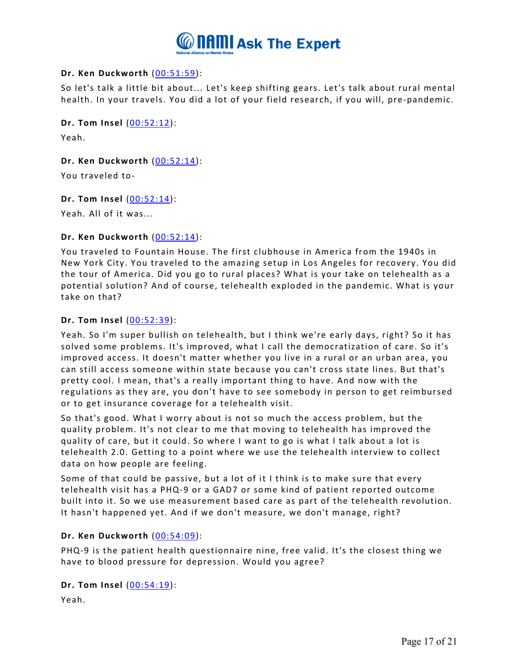

# **Dr. Ken Duckworth** [\(00:51:59\)](https://www.rev.com/transcript-editor/Edit?token=eOaQS7FFflvZfmN9jA2YLV8tvCKYFRmHwgBc4B23HCMWtdk8uWrPuWCY9dBECdiMqDmal0pTjhhYHJ_RxD33NHReBcA&loadFrom=DocumentDeeplink&ts=3119.31):

So let's talk a little bit about... Let's keep shifting gears. Let's talk about rural mental health. In your travels. You did a lot of your field research, if you will, pre-pandemic.

**Dr. Tom Insel** [\(00:52:12\)](https://www.rev.com/transcript-editor/Edit?token=5cTe5mnRwVabAGISzMEk_ZlBVvZdhjPSdnsa5lRiyw9_ULRnm2kBfyZ-heFjfzS_wJflZbflFlmH5lqLrMUKIqoCjpU&loadFrom=DocumentDeeplink&ts=3132.58):

Yeah.

**Dr. Ken Duckworth** [\(00:52:14\)](https://www.rev.com/transcript-editor/Edit?token=rkTd-9MrHhbsHIb4dKNDheunFP8MId1jOXpyyckFX1NnGx7WGMkUyRXauO-3-SPEhESryMW_0DbhEjhxGn53BF31Od0&loadFrom=DocumentDeeplink&ts=3134.43):

You traveled to-

**Dr. Tom Insel** [\(00:52:14\)](https://www.rev.com/transcript-editor/Edit?token=IzN6LCDrcldbBRmlSBIrUkI9KN56R1XfDtstH_pDZyuR_OJVuFG1Pf679LV8WLRhZ58osUdUWphtYlt9Sudaurxh-yI&loadFrom=DocumentDeeplink&ts=3134.5):

Yeah. All of it was...

### **Dr. Ken Duckworth** [\(00:52:14\)](https://www.rev.com/transcript-editor/Edit?token=bhTWqp1yShCsSbg9_eaXUxqUU4OPuHTEBU_eIgAAZQmysGNdzwDwv7ymA7-4GsL1HUgkOH351BNETRTL2kTSUb2mgvo&loadFrom=DocumentDeeplink&ts=3134.85):

You traveled to Fountain House. The first clubhouse in America from the 1940s in New York City. You traveled to the amazing setup in Los Angeles for recovery. You did the tour of America. Did you go to rural places? What is your take on telehealth as a potential solution? And of course, telehealth exploded in the pandemic. What is your take on that?

### **Dr. Tom Insel** [\(00:52:39\)](https://www.rev.com/transcript-editor/Edit?token=BLpKhuDKhhMsQ9OmsjzYcgW0afVq4iVkptsPhEpuqfaywRnA9Xg1ldWs_Dfy2orGvudjN6RFKF2ZBdQyOol83RFKaxE&loadFrom=DocumentDeeplink&ts=3159.91):

Yeah. So I'm super bullish on telehealth, but I think we're early days, right? So it has solved some problems. It's improved, what I call the democratization of care. So it's improved access. It doesn't matter whether you live in a rural or an urban area, you can still access someone within state because you can't cross state lines. But that's pretty cool. I mean, that's a really important thing to have. And now with the regulations as they are, you don't have to see somebody in person to get reimbursed or to get insurance coverage for a telehealth visit.

So that's good. What I worry about is not so much the access problem, but the quality problem. It's not clear to me that moving to telehealth has improved the quality of care, but it could. So where I want to go is what I talk about a lot is telehealth 2.0. Getting to a point where we use the telehealth interview to collect data on how people are feeling.

Some of that could be passive, but a lot of it I think is to make sure that every telehealth visit has a PHQ-9 or a GAD7 or some kind of patient reported outcome built into it. So we use measurement based care as part of the telehealth revolution. It hasn't happened yet. And if we don't measure, we don't manage, right?

### **Dr. Ken Duckworth** [\(00:54:09\)](https://www.rev.com/transcript-editor/Edit?token=ySbuvwMVoFy7I6iqrUi4zAhA_f0R5OB2Bve5ocxlbPBD-C89-XT9B0EswKFokJjyvbmFTcg4bC7gCC_tuF7oMBzTf08&loadFrom=DocumentDeeplink&ts=3249.95):

PHQ-9 is the patient health questionnaire nine, free valid. It's the closest thing we have to blood pressure for depression. Would you agree?

### **Dr. Tom Insel** [\(00:54:19\)](https://www.rev.com/transcript-editor/Edit?token=zc8eaqSwfyAAVEMaT7XkMQ_OUOa3OEkUGiL_ljAx8-DQMAjpa5EweTTSWoCCELmNcK2TZosqMd92vmEByr9QfQrPD9Q&loadFrom=DocumentDeeplink&ts=3259.31):

Yeah.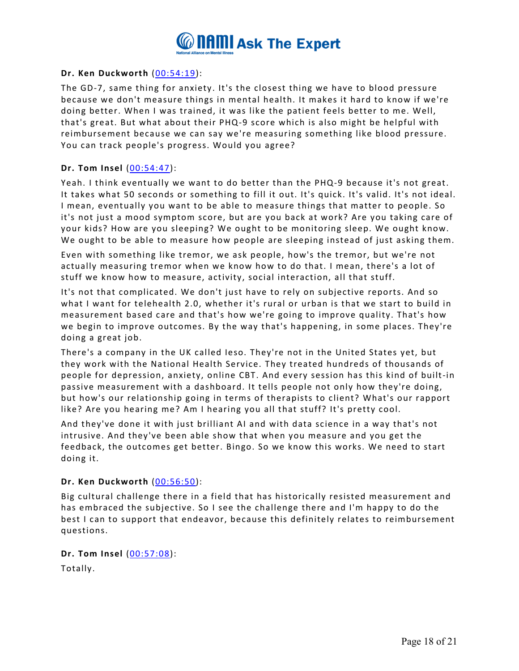

## **Dr. Ken Duckworth** [\(00:54:19\)](https://www.rev.com/transcript-editor/Edit?token=J10smS7OhiVuFnATr1KTZAZzxFpBFHyiGeLbn34i1GuhTACET6DfRzjddD6FCaczVMbzd-sGYCfnUWpMGfHTmIKfvKw&loadFrom=DocumentDeeplink&ts=3259.32):

The GD-7, same thing for anxiety. It's the closest thing we have to blood pressure because we don't measure things in mental health. It makes it hard to know if we're doing better. When I was trained, it was like the patient feels better to me. Well, that's great. But what about their PHQ-9 score which is also might be helpful with reimbursement because we can say we're measuring something like blood pressure. You can track people's progress. Would you agree?

### **Dr. Tom Insel** [\(00:54:47\)](https://www.rev.com/transcript-editor/Edit?token=L5jeHn2ap4jzCo7pFkOzYW0vYUw7BBX0tI-5t1d5d3mjzc8sgUIq1kIihFm8z4zX15MWTQyi4deWu8Z-3tKn965dRsY&loadFrom=DocumentDeeplink&ts=3287.09):

Yeah. I think eventually we want to do better than the PHQ-9 because it's not great. It takes what 50 seconds or something to fill it out. It's quick. It's valid. It's not ideal. I mean, eventually you want to be able to measure things that matter to people. So it's not just a mood symptom score, but are you back at work? Are you taking care of your kids? How are you sleeping? We ought to be monitoring sleep. We ought know. We ought to be able to measure how people are sleeping instead of just asking them.

Even with something like tremor, we ask people, how's the tremor, but we're not actually measuring tremor when we know how to do that. I mean, there's a lot of stuff we know how to measure, activity, social interaction, all that stuff.

It's not that complicated. We don't just have to rely on subjective reports. And so what I want for telehealth 2.0, whether it's rural or urban is that we start to build in measurement based care and that's how we're going to improve quality. That's how we begin to improve outcomes. By the way that's happening, in some places. They're doing a great job.

There's a company in the UK called Ieso. They're not in the United States yet, but they work with the National Health Service. They treated hundreds of thousands of people for depression, anxiety, online CBT. And every session has this kind of built-in passive measurement with a dashboard. It tells people not only how they're doing, but how's our relationship going in terms of therapists to client? What's our rapport like? Are you hearing me? Am I hearing you all that stuff? It's pretty cool.

And they've done it with just brilliant AI and with data science in a way that's not intrusive. And they've been able show that when you measure and you get the feedback, the outcomes get better. Bingo. So we know this works. We need to start doing it.

### **Dr. Ken Duckworth** [\(00:56:50\)](https://www.rev.com/transcript-editor/Edit?token=m_covRQDdENDNLZgcvs3ppbIFBOlLi8UdnF2Qq648p0jPojNIxvc1ECEAcdgSRg42kZa4kb-eXvAsgsTmsSLfDLsiBk&loadFrom=DocumentDeeplink&ts=3410.82):

Big cultural challenge there in a field that has historically resisted measurement and has embraced the subjective. So I see the challenge there and I'm happy to do the best I can to support that endeavor, because this definitely relates to reimbursement questions.

**Dr. Tom Insel** [\(00:57:08\)](https://www.rev.com/transcript-editor/Edit?token=Z6_Ndewluy9JhD63tRorL-D9CugCuVe5EhpOJYo_OW6obESUonCU_iU3SZ7kjEu9AbqJxY3aUxFue79hFmqQWvp-hFI&loadFrom=DocumentDeeplink&ts=3428.5): Totally.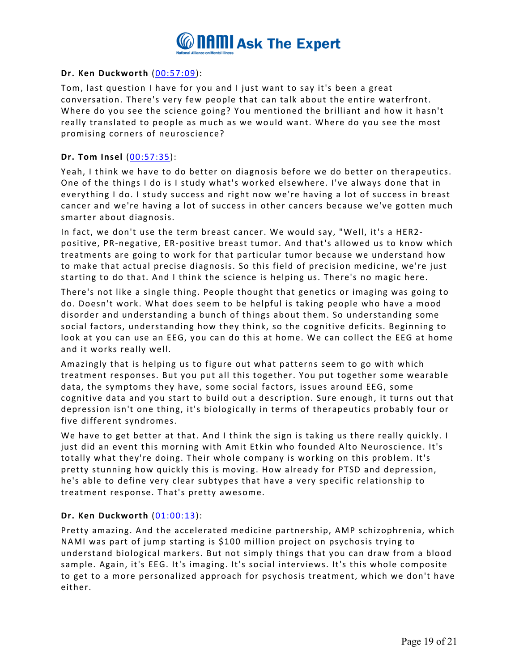

## **Dr. Ken Duckworth** [\(00:57:09\)](https://www.rev.com/transcript-editor/Edit?token=F6aPOTH3lBdk7I8o_mnUg5x1EcOgS9anvf2ffnsn09hZ5k0BqbG0vVvcROy6IoDvHLpAZmHDjZv-JSMvlKsTcFwm-Z8&loadFrom=DocumentDeeplink&ts=3429.69):

Tom, last question I have for you and I just want to say it's been a great conversation. There's very few people that can talk about the entire waterfront. Where do you see the science going? You mentioned the brilliant and how it hasn't really translated to people as much as we would want. Where do you see the most promising corners of neuroscience?

## **Dr. Tom Insel** [\(00:57:35\)](https://www.rev.com/transcript-editor/Edit?token=FsHAmNmPSjnwue1XVvLYPQNtJ1otvaWc-DCDurpl7kX2Qc3TJwjGbmlx7g6YfzbOwK8QvfVx5f_ww9ZbQUrdhB50MtA&loadFrom=DocumentDeeplink&ts=3455.58):

Yeah, I think we have to do better on diagnosis before we do better on therapeutics. One of the things I do is I study what's worked elsewhere. I've always done that in everything I do. I study success and right now we're having a lot of success in breast cancer and we're having a lot of success in other cancers because we've gotten much smarter about diagnosis.

In fact, we don't use the term breast cancer. We would say, "Well, it's a HER2 positive, PR-negative, ER-positive breast tumor. And that's allowed us to know which treatments are going to work for that particular tumor because we understand how to make that actual precise diagnosis. So this field of precision medicine, we're just starting to do that. And I think the science is helping us. There's no magic here.

There's not like a single thing. People thought that genetics or imaging was going to do. Doesn't work. What does seem to be helpful is taking people who have a mood disorder and understanding a bunch of things about them. So understanding some social factors, understanding how they think, so the cognitive deficits. Beginning to look at you can use an EEG, you can do this at home. We can collect the EEG at home and it works really well.

Amazingly that is helping us to figure out what patterns seem to go with which treatment responses. But you put all this together. You put together some wearable data, the symptoms they have, some social factors, issues around EEG, some cognitive data and you start to build out a description. Sure enough, it turns out that depression isn't one thing, it's biologically in terms of therapeutics probably four or five different syndromes.

We have to get better at that. And I think the sign is taking us there really quickly. I just did an event this morning with Amit Etkin who founded Alto Neuroscience. It's totally what they're doing. Their whole company is working on this problem. It's pretty stunning how quickly this is moving. How already for PTSD and depression, he's able to define very clear subtypes that have a very specific relationship to treatment response. That's pretty awesome.

### **Dr. Ken Duckworth** [\(01:00:13\)](https://www.rev.com/transcript-editor/Edit?token=KFJMkWmw37gmy5tA5q6dlsLpU9RZTELw3HhoJeWrU9qvoyvAfrt_ydCjeyMn6LZyZqmfgRKH0JAQNdeph5Q_DH_B4MM&loadFrom=DocumentDeeplink&ts=3613.88):

Pretty amazing. And the accelerated medicine partnership, AMP schizophrenia, which NAMI was part of jump starting is \$100 million project on psychosis trying to understand biological markers. But not simply things that you can draw from a blood sample. Again, it's EEG. It's imaging. It's social interviews. It's this whole composite to get to a more personalized approach for psychosis treatment, which we don't have either.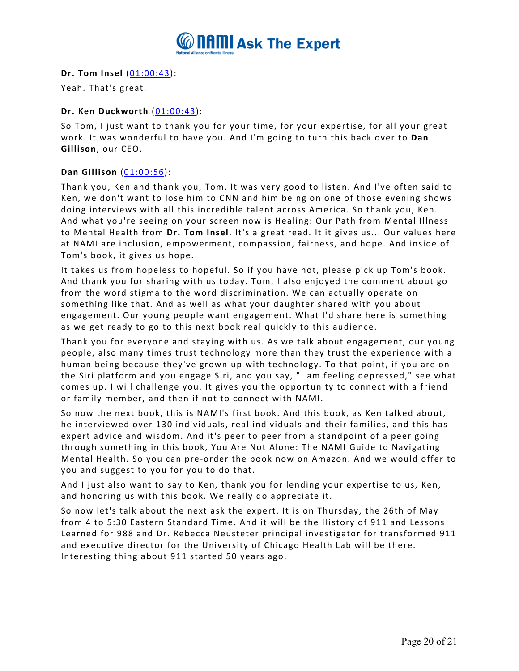

**Dr. Tom Insel** [\(01:00:43\)](https://www.rev.com/transcript-editor/Edit?token=jktHVR37BZRlw35TWhU_r4D-Qxr79uTqFjpsFHCZCDUKJDzX-5DfxDDO6-Ky_EPBRNQUp0W4Q9KE7DcVuPOo009eNhk&loadFrom=DocumentDeeplink&ts=3643.12):

Yeah. That's great.

# **Dr. Ken Duckworth** [\(01:00:43\)](https://www.rev.com/transcript-editor/Edit?token=_suHN_TSH-PPT8dKrbMQMlulmfv0OGdnzdKsQLgiDvJd1ymkHDFMZgY_nKzHL5dem_ij8eQcTlALl3oiopOK-aM7U0Y&loadFrom=DocumentDeeplink&ts=3643.21):

So Tom, I just want to thank you for your time, for your expertise, for all your great work. It was wonderful to have you. And I'm going to turn this back over to **Dan Gillison**, our CEO.

# **Dan Gillison** [\(01:00:56\)](https://www.rev.com/transcript-editor/Edit?token=nD5g6seU1XQg-cEXXqe3CTgm-AskgIr4vyEYcpaX7cGMURYw80uDjtv3FKDdzQ07rAR8hBhPFgexaHEHSFlger92fgo&loadFrom=DocumentDeeplink&ts=3656.16):

Thank you, Ken and thank you, Tom. It was very good to listen. And I've often said to Ken, we don't want to lose him to CNN and him being on one of those evening shows doing interviews with all this incredible talent across America. So thank you, Ken. And what you're seeing on your screen now is Healing: Our Path from Mental Illness to Mental Health from **Dr. Tom Insel**. It's a great read. It it gives us... Our values here at NAMI are inclusion, empowerment, compassion, fairness, and hope. And inside of Tom's book, it gives us hope.

It takes us from hopeless to hopeful. So if you have not, please pick up Tom's book. And thank you for sharing with us today. Tom, I also enjoyed the comment about go from the word stigma to the word discrimination. We can actually operate on something like that. And as well as what your daughter shared with you about engagement. Our young people want engagement. What I'd share here is something as we get ready to go to this next book real quickly to this audience.

Thank you for everyone and staying with us. As we talk about engagement, our young people, also many times trust technology more than they trust the experience with a human being because they've grown up with technology. To that point, if you are on the Siri platform and you engage Siri, and you say, "I am feeling depressed," see what comes up. I will challenge you. It gives you the opportunity to connect with a friend or family member, and then if not to connect with NAMI.

So now the next book, this is NAMI's first book. And this book, as Ken talked about, he interviewed over 130 individuals, real individuals and their families, and this has expert advice and wisdom. And it's peer to peer from a standpoint of a peer going through something in this book, You Are Not Alone: The NAMI Guide to Navigating Mental Health. So you can pre-order the book now on Amazon. And we would offer to you and suggest to you for you to do that.

And I just also want to say to Ken, thank you for lending your expertise to us, Ken, and honoring us with this book. We really do appreciate it.

So now let's talk about the next ask the expert. It is on Thursday, the 26th of May from 4 to 5:30 Eastern Standard Time. And it will be the History of 911 and Lessons Learned for 988 and Dr. Rebecca Neusteter principal investigator for transformed 911 and executive director for the University of Chicago Health Lab will be there. Interesting thing about 911 started 50 years ago.